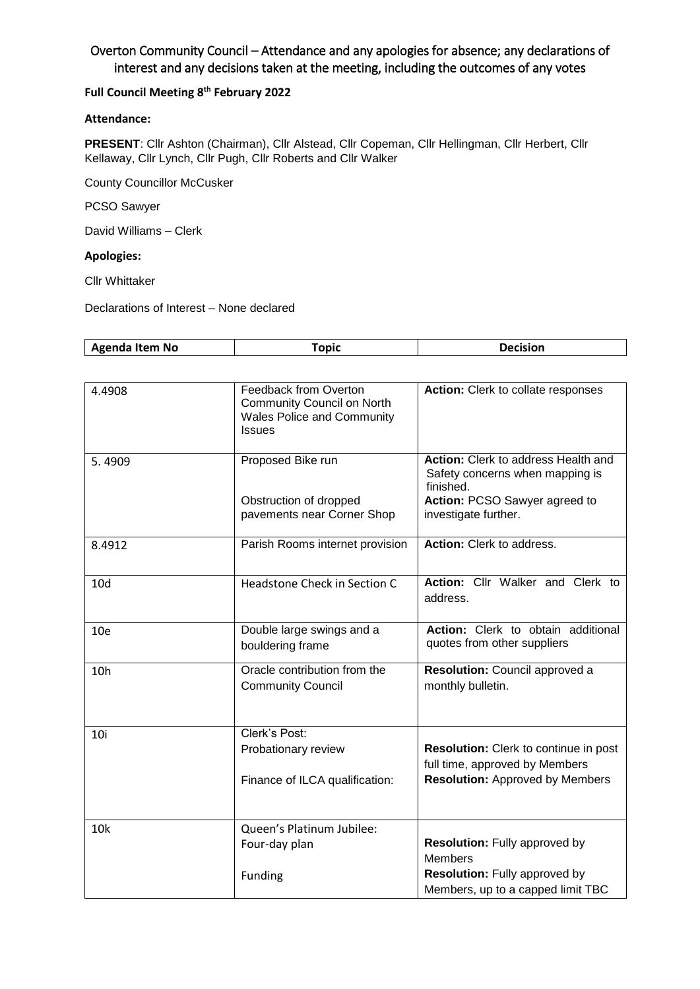# Overton Community Council – Attendance and any apologies for absence; any declarations of interest and any decisions taken at the meeting, including the outcomes of any votes

### **Full Council Meeting 8 th February 2022**

### **Attendance:**

**PRESENT**: Cllr Ashton (Chairman), Cllr Alstead, Cllr Copeman, Cllr Hellingman, Cllr Herbert, Cllr Kellaway, Cllr Lynch, Cllr Pugh, Cllr Roberts and Cllr Walker

County Councillor McCusker

PCSO Sawyer

David Williams – Clerk

#### **Apologies:**

Cllr Whittaker

Declarations of Interest – None declared

|  | -----<br>Item No<br>a and a contract of the contract of the contract of the contract of the contract of the contract of the contract of the contract of the contract of the contract o<br>חחי.<br>- - | --- |  |
|--|-------------------------------------------------------------------------------------------------------------------------------------------------------------------------------------------------------|-----|--|
|--|-------------------------------------------------------------------------------------------------------------------------------------------------------------------------------------------------------|-----|--|

| 4.4908          | Feedback from Overton<br><b>Community Council on North</b><br><b>Wales Police and Community</b><br><b>Issues</b> | Action: Clerk to collate responses                                                                                   |
|-----------------|------------------------------------------------------------------------------------------------------------------|----------------------------------------------------------------------------------------------------------------------|
| 5.4909          | Proposed Bike run<br>Obstruction of dropped                                                                      | Action: Clerk to address Health and<br>Safety concerns when mapping is<br>finished.<br>Action: PCSO Sawyer agreed to |
|                 | pavements near Corner Shop                                                                                       | investigate further.                                                                                                 |
| 8.4912          | Parish Rooms internet provision                                                                                  | Action: Clerk to address.                                                                                            |
| 10 <sub>d</sub> | Headstone Check in Section C                                                                                     | Action: Cllr Walker and Clerk to<br>address.                                                                         |
| 10 <sub>e</sub> | Double large swings and a<br>bouldering frame                                                                    | Action: Clerk to obtain additional<br>quotes from other suppliers                                                    |
| 10 <sub>h</sub> | Oracle contribution from the<br><b>Community Council</b>                                                         | Resolution: Council approved a<br>monthly bulletin.                                                                  |
| 10i             | Clerk's Post:<br>Probationary review                                                                             | <b>Resolution:</b> Clerk to continue in post<br>full time, approved by Members                                       |
|                 | Finance of ILCA qualification:                                                                                   | <b>Resolution:</b> Approved by Members                                                                               |
| <b>10k</b>      | Queen's Platinum Jubilee:                                                                                        |                                                                                                                      |
|                 | Four-day plan                                                                                                    | <b>Resolution:</b> Fully approved by<br><b>Members</b>                                                               |
|                 | Funding                                                                                                          | <b>Resolution:</b> Fully approved by<br>Members, up to a capped limit TBC                                            |